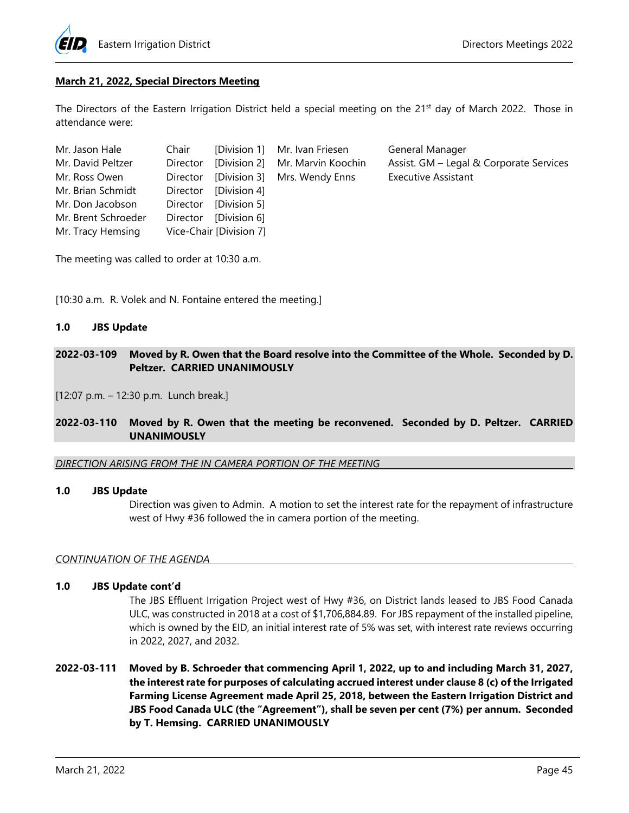

## **March 21, 2022, Special Directors Meeting**

The Directors of the Eastern Irrigation District held a special meeting on the 21<sup>st</sup> day of March 2022. Those in attendance were:

| Mr. Jason Hale      | Chair    |                         | [Division 1] Mr. Ivan Friesen            | General Manager                         |
|---------------------|----------|-------------------------|------------------------------------------|-----------------------------------------|
| Mr. David Peltzer   |          |                         | Director [Division 2] Mr. Marvin Koochin | Assist. GM - Legal & Corporate Services |
| Mr. Ross Owen       |          |                         | Director [Division 3] Mrs. Wendy Enns    | <b>Executive Assistant</b>              |
| Mr. Brian Schmidt   |          | Director [Division 4]   |                                          |                                         |
| Mr. Don Jacobson    |          | Director [Division 5]   |                                          |                                         |
| Mr. Brent Schroeder | Director | [Division 6]            |                                          |                                         |
| Mr. Tracy Hemsing   |          | Vice-Chair [Division 7] |                                          |                                         |

The meeting was called to order at 10:30 a.m.

[10:30 a.m. R. Volek and N. Fontaine entered the meeting.]

### **1.0 JBS Update**

## **2022-03-109 Moved by R. Owen that the Board resolve into the Committee of the Whole. Seconded by D. Peltzer. CARRIED UNANIMOUSLY**

[12:07 p.m. – 12:30 p.m. Lunch break.]

### **2022-03-110 Moved by R. Owen that the meeting be reconvened. Seconded by D. Peltzer. CARRIED UNANIMOUSLY**

*DIRECTION ARISING FROM THE IN CAMERA PORTION OF THE MEETING* 

#### **1.0 JBS Update**

Direction was given to Admin. A motion to set the interest rate for the repayment of infrastructure west of Hwy #36 followed the in camera portion of the meeting.

### *CONTINUATION OF THE AGENDA*

## **1.0 JBS Update cont'd**

The JBS Effluent Irrigation Project west of Hwy #36, on District lands leased to JBS Food Canada ULC, was constructed in 2018 at a cost of \$1,706,884.89. For JBS repayment of the installed pipeline, which is owned by the EID, an initial interest rate of 5% was set, with interest rate reviews occurring in 2022, 2027, and 2032.

**2022-03-111 Moved by B. Schroeder that commencing April 1, 2022, up to and including March 31, 2027, the interest rate for purposes of calculating accrued interest under clause 8 (c) of the Irrigated Farming License Agreement made April 25, 2018, between the Eastern Irrigation District and JBS Food Canada ULC (the "Agreement"), shall be seven per cent (7%) per annum. Seconded by T. Hemsing. CARRIED UNANIMOUSLY**